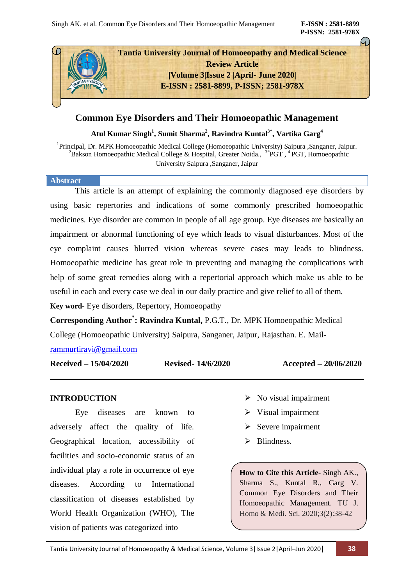**P-ISSN: 2581-978X**



# **Common Eye Disorders and Their Homoeopathic Management**

**Atul Kumar Singh<sup>1</sup> , Sumit Sharma<sup>2</sup> , Ravindra Kuntal3\* , Vartika Garg<sup>4</sup>**

<sup>1</sup>Principal, Dr. MPK Homoeopathic Medical College (Homoeopathic University) Saipura ,Sanganer, Jaipur. <sup>2</sup>Bakson Homoeopathic Medical College & Hospital, Greater Noida.,  $3*$ PGT,  $4$ PGT, Homoeopathic University Saipura ,Sanganer, Jaipur

### **Abstract**

This article is an attempt of explaining the commonly diagnosed eye disorders by using basic repertories and indications of some commonly prescribed homoeopathic medicines. Eye disorder are common in people of all age group. Eye diseases are basically an impairment or abnormal functioning of eye which leads to visual disturbances. Most of the eye complaint causes blurred vision whereas severe cases may leads to blindness. Homoeopathic medicine has great role in preventing and managing the complications with help of some great remedies along with a repertorial approach which make us able to be useful in each and every case we deal in our daily practice and give relief to all of them.

**Key word-** Eye disorders, Repertory, Homoeopathy

**Corresponding Author\* : Ravindra Kuntal,** P.G.T., Dr. MPK Homoeopathic Medical College (Homoeopathic University) Saipura, Sanganer, Jaipur, Rajasthan. E. Mail-

[rammurtiravi@gmail.com](mailto:rammurtiravi@gmail.com)

**Received – 15/04/2020 Revised- 14/6/2020 Accepted – 20/06/2020**

## **INTRODUCTION**

Eye diseases are known to adversely affect the quality of life. Geographical location, accessibility of facilities and socio-economic status of an individual play a role in occurrence of eye diseases. According to International classification of diseases established by World Health Organization (WHO), The vision of patients was categorized into

- $\triangleright$  No visual impairment
- $\triangleright$  Visual impairment
- $\triangleright$  Severe impairment
- $\triangleright$  Blindness.

**How to Cite this Article-** Singh AK., Sharma S., Kuntal R., Garg V. Common Eye Disorders and Their Homoeopathic Management. TU J. Homo & Medi. Sci. 2020;3(2):38-42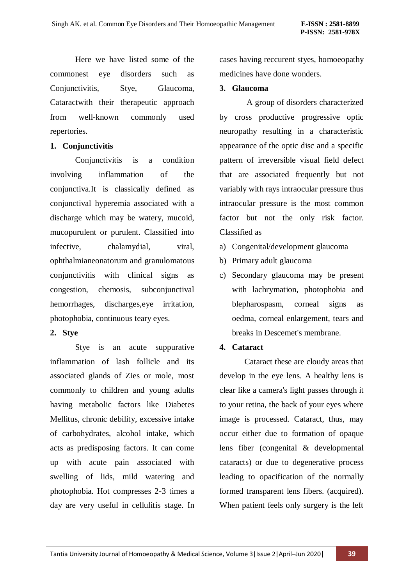Here we have listed some of the commonest eye disorders such as Conjunctivitis, Stye, Glaucoma, Cataractwith their therapeutic approach from well-known commonly used repertories.

## **1. Conjunctivitis**

Conjunctivitis is a condition involving inflammation of the conjunctiva.It is classically defined as conjunctival hyperemia associated with a discharge which may be watery, mucoid, mucopurulent or purulent. Classified into infective, chalamydial, viral, ophthalmianeonatorum and granulomatous conjunctivitis with clinical signs as congestion, chemosis, subconjunctival hemorrhages, discharges,eye irritation, photophobia, continuous teary eyes.

## **2. Stye**

Stye is an acute suppurative inflammation of lash follicle and its associated glands of Zies or mole, most commonly to children and young adults having metabolic factors like Diabetes Mellitus, chronic debility, excessive intake of carbohydrates, alcohol intake, which acts as predisposing factors. It can come up with acute pain associated with swelling of lids, mild watering and photophobia. Hot compresses 2-3 times a day are very useful in cellulitis stage. In cases having reccurent styes, homoeopathy medicines have done wonders.

## **3. Glaucoma**

A group of disorders characterized by cross productive progressive optic neuropathy resulting in a characteristic appearance of the optic disc and a specific pattern of irreversible visual field defect that are associated frequently but not variably with rays intraocular pressure thus intraocular pressure is the most common factor but not the only risk factor. Classified as

- a) Congenital/development glaucoma
- b) Primary adult glaucoma
- c) Secondary glaucoma may be present with lachrymation, photophobia and blepharospasm, corneal signs as oedma, corneal enlargement, tears and breaks in Descemet's membrane.

## **4. Cataract**

Cataract these are cloudy areas that develop in the eye lens. A healthy lens is clear like a camera's light passes through it to your retina, the back of your eyes where image is processed. Cataract, thus, may occur either due to formation of opaque lens fiber (congenital & developmental cataracts) or due to degenerative process leading to opacification of the normally formed transparent lens fibers. (acquired). When patient feels only surgery is the left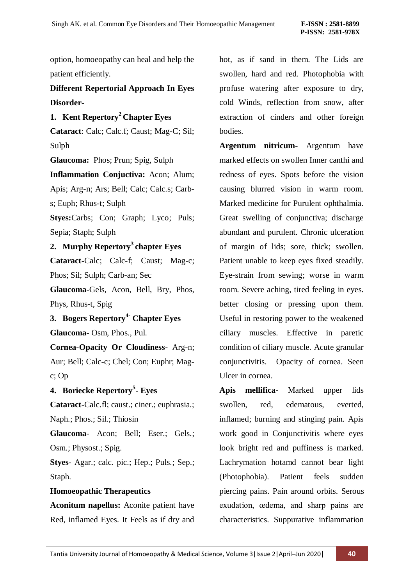option, homoeopathy can heal and help the patient efficiently.

# **Different Repertorial Approach In Eyes Disorder-**

**1. Kent Repertory<sup>2</sup>Chapter Eyes** 

**Cataract**: Calc; Calc.f; Caust; Mag-C; Sil; Sulph

**Glaucoma:** Phos; Prun; Spig, Sulph

**Inflammation Conjuctiva:** Acon; Alum; Apis; Arg-n; Ars; Bell; Calc; Calc.s; Carbs; Euph; Rhus-t; Sulph

**Styes:**Carbs; Con; Graph; Lyco; Puls; Sepia; Staph; Sulph

**2. Murphy Repertory<sup>3</sup> chapter Eyes**

**Cataract-**Calc; Calc-f; Caust; Mag-c; Phos; Sil; Sulph; Carb-an; Sec

**Glaucoma-**Gels, Acon, Bell, Bry, Phos, Phys, Rhus-t, Spig

**3. Bogers Repertory4- Chapter Eyes Glaucoma-** Osm, Phos., Pul.

**Cornea-Opacity Or Cloudiness-** Arg-n; Aur; Bell; Calc-c; Chel; Con; Euphr; Magc; Op

# **4. Boriecke Repertory<sup>5</sup> - Eyes**

**Cataract-**Calc.fl; caust.; ciner.; euphrasia.; Naph.; Phos.; Sil.; Thiosin

**Glaucoma-** Acon; Bell; Eser.; Gels.; Osm.; Physost.; Spig.

**Styes-** Agar.; calc. pic.; Hep.; Puls.; Sep.; Staph.

## **Homoeopathic Therapeutics**

**Aconitum napellus:** Aconite patient have Red, inflamed Eyes. It Feels as if dry and hot, as if sand in them. The Lids are swollen, hard and red. Photophobia with profuse watering after exposure to dry, cold Winds, reflection from snow, after extraction of cinders and other foreign bodies.

**Argentum nitricum-** Argentum have marked effects on swollen Inner canthi and redness of eyes. Spots before the vision causing blurred vision in warm room. Marked medicine for Purulent ophthalmia. Great swelling of conjunctiva; discharge abundant and purulent. Chronic ulceration of margin of lids; sore, thick; swollen. Patient unable to keep eyes fixed steadily. Eye-strain from sewing; worse in warm room. Severe aching, tired feeling in eyes. better closing or pressing upon them. Useful in restoring power to the weakened ciliary muscles. Effective in paretic condition of ciliary muscle. Acute granular conjunctivitis. Opacity of cornea. Seen Ulcer in cornea.

**Apis mellifica-** Marked upper lids swollen, red, edematous, everted, inflamed; burning and stinging pain. Apis work good in Conjunctivitis where eyes look bright red and puffiness is marked. Lachrymation hotamd cannot bear light (Photophobia). Patient feels sudden piercing pains. Pain around orbits. Serous exudation, œdema, and sharp pains are characteristics. Suppurative inflammation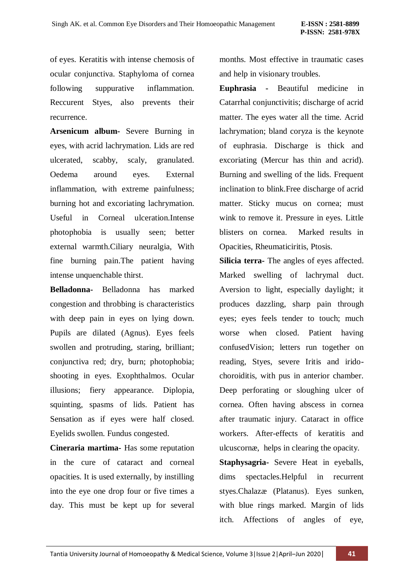of eyes. Keratitis with intense chemosis of ocular conjunctiva. Staphyloma of cornea following suppurative inflammation. Reccurent Styes, also prevents their recurrence.

**Arsenicum album-** Severe Burning in eyes, with acrid lachrymation. Lids are red ulcerated, scabby, scaly, granulated. Oedema around eyes. External inflammation, with extreme painfulness; burning hot and excoriating lachrymation. Useful in Corneal ulceration.Intense photophobia is usually seen; better external warmth.Ciliary neuralgia, With fine burning pain.The patient having intense unquenchable thirst.

**Belladonna-** Belladonna has marked congestion and throbbing is characteristics with deep pain in eyes on lying down. Pupils are dilated (Agnus). Eyes feels swollen and protruding, staring, brilliant; conjunctiva red; dry, burn; photophobia; shooting in eyes. Exophthalmos. Ocular illusions; fiery appearance. Diplopia, squinting, spasms of lids. Patient has Sensation as if eyes were half closed. Eyelids swollen. Fundus congested.

**Cineraria martima-** Has some reputation in the cure of cataract and corneal opacities. It is used externally, by instilling into the eye one drop four or five times a day. This must be kept up for several

months. Most effective in traumatic cases and help in visionary troubles.

**Euphrasia -** Beautiful medicine in Catarrhal conjunctivitis; discharge of acrid matter. The eyes water all the time. Acrid lachrymation; bland coryza is the keynote of euphrasia. Discharge is thick and excoriating (Mercur has thin and acrid). Burning and swelling of the lids. Frequent inclination to blink.Free discharge of acrid matter. Sticky mucus on cornea; must wink to remove it. Pressure in eyes. Little blisters on cornea. Marked results in Opacities, Rheumaticiritis, Ptosis.

**Silicia terra-** The angles of eyes affected. Marked swelling of lachrymal duct. Aversion to light, especially daylight; it produces dazzling, sharp pain through eyes; eyes feels tender to touch; much worse when closed. Patient having confusedVision; letters run together on reading, Styes, severe Iritis and iridochoroiditis, with pus in anterior chamber. Deep perforating or sloughing ulcer of cornea. Often having abscess in cornea after traumatic injury. Cataract in office workers. After-effects of keratitis and ulcuscornæ, helps in clearing the opacity. **Staphysagria-** Severe Heat in eyeballs, dims spectacles.Helpful in recurrent styes.Chalazæ (Platanus). Eyes sunken, with blue rings marked. Margin of lids itch. Affections of angles of eye,